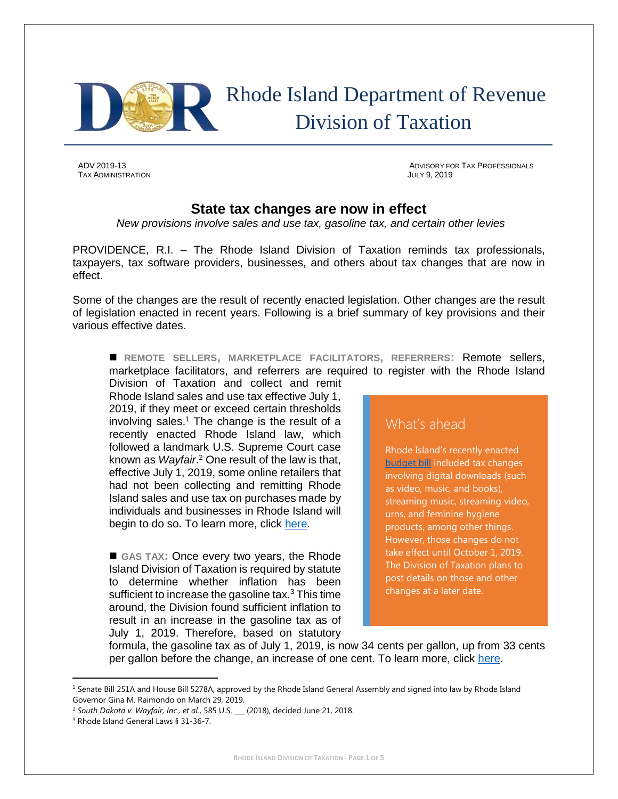

## Rhode Island Department of Revenue Division of Taxation

TAX ADMINISTRATION JULY 9, 2019

ADV 2019-13 ADVISORY FOR TAX PROFESSIONALS

## **State tax changes are now in effect**

*New provisions involve sales and use tax, gasoline tax, and certain other levies*

PROVIDENCE, R.I. – The Rhode Island Division of Taxation reminds tax professionals, taxpayers, tax software providers, businesses, and others about tax changes that are now in effect.

Some of the changes are the result of recently enacted legislation. Other changes are the result of legislation enacted in recent years. Following is a brief summary of key provisions and their various effective dates.

◼ **REMOTE SELLERS, MARKETPLACE FACILITATORS, REFERRERS:** Remote sellers, marketplace facilitators, and referrers are required to register with the Rhode Island

Division of Taxation and collect and remit Rhode Island sales and use tax effective July 1, 2019, if they meet or exceed certain thresholds involving sales. <sup>1</sup> The change is the result of a recently enacted Rhode Island law, which followed a landmark U.S. Supreme Court case known as *Wayfair*. <sup>2</sup> One result of the law is that, effective July 1, 2019, some online retailers that had not been collecting and remitting Rhode Island sales and use tax on purchases made by individuals and businesses in Rhode Island will begin to do so. To learn more, click [here.](http://www.tax.ri.gov/Advisory/ADV_2019_11.pdf)

■ GAS TAX: Once every two years, the Rhode Island Division of Taxation is required by statute to determine whether inflation has been sufficient to increase the gasoline tax.<sup>3</sup> This time around, the Division found sufficient inflation to result in an increase in the gasoline tax as of July 1, 2019. Therefore, based on statutory

## What's ahead

Rhode Island's recently enacted [budget bill](http://webserver.rilin.state.ri.us/BillText/BillText19/HouseText19/H5151Aaa.pdf) included tax changes involving digital downloads (such as video, music, and books), streaming music, streaming video, urns, and feminine hygiene products, among other things. However, those changes do not take effect until October 1, 2019. The Division of Taxation plans to post details on those and other changes at a later date.

formula, the gasoline tax as of July 1, 2019, is now 34 cents per gallon, up from 33 cents per gallon before the change, an increase of one cent. To learn more, click [here.](http://www.tax.ri.gov/Advisory/ADV_2018_48.pdf)

 $\overline{a}$ 

 $1$  Senate Bill 251A and House Bill 5278A, approved by the Rhode Island General Assembly and signed into law by Rhode Island Governor Gina M. Raimondo on March 29, 2019.

<sup>2</sup> *South Dakota v. Wayfair, Inc., et al.*, 585 U.S. \_\_\_ (2018), decided June 21, 2018.

<sup>&</sup>lt;sup>3</sup> Rhode Island General Laws § 31-36-7.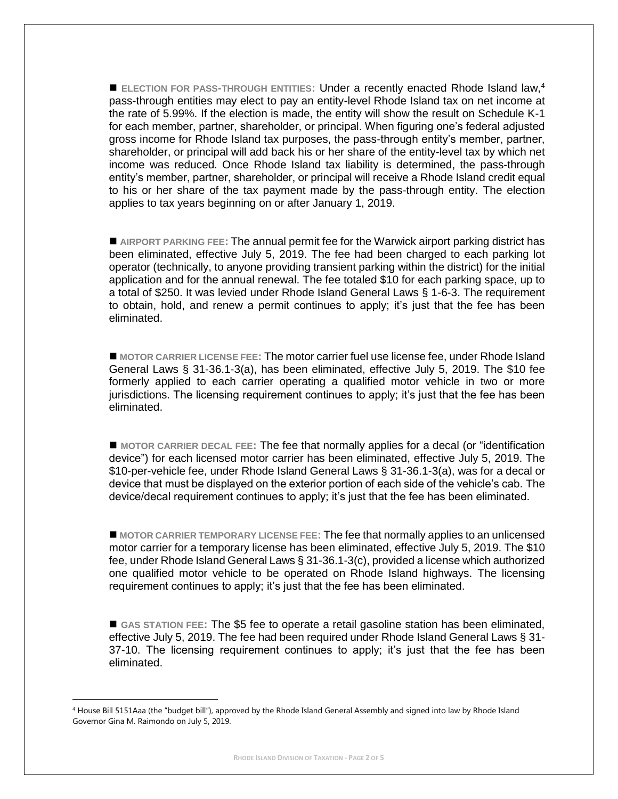■ ELECTION FOR PASS<sup>-</sup>THROUGH ENTITIES: Under a recently enacted Rhode Island law,<sup>4</sup> pass-through entities may elect to pay an entity-level Rhode Island tax on net income at the rate of 5.99%. If the election is made, the entity will show the result on Schedule K-1 for each member, partner, shareholder, or principal. When figuring one's federal adjusted gross income for Rhode Island tax purposes, the pass-through entity's member, partner, shareholder, or principal will add back his or her share of the entity-level tax by which net income was reduced. Once Rhode Island tax liability is determined, the pass-through entity's member, partner, shareholder, or principal will receive a Rhode Island credit equal to his or her share of the tax payment made by the pass-through entity. The election applies to tax years beginning on or after January 1, 2019.

■ AIRPORT PARKING FEE**:** The annual permit fee for the Warwick airport parking district has been eliminated, effective July 5, 2019. The fee had been charged to each parking lot operator (technically, to anyone providing transient parking within the district) for the initial application and for the annual renewal. The fee totaled \$10 for each parking space, up to a total of \$250. It was levied under Rhode Island General Laws § 1-6-3. The requirement to obtain, hold, and renew a permit continues to apply; it's just that the fee has been eliminated.

■ MOTOR CARRIER LICENSE FEE**:** The motor carrier fuel use license fee, under Rhode Island General Laws § 31-36.1-3(a), has been eliminated, effective July 5, 2019. The \$10 fee formerly applied to each carrier operating a qualified motor vehicle in two or more jurisdictions. The licensing requirement continues to apply; it's just that the fee has been eliminated.

■ MOTOR CARRIER DECAL FEE: The fee that normally applies for a decal (or "identification device") for each licensed motor carrier has been eliminated, effective July 5, 2019. The \$10-per-vehicle fee, under Rhode Island General Laws § 31-36.1-3(a), was for a decal or device that must be displayed on the exterior portion of each side of the vehicle's cab. The device/decal requirement continues to apply; it's just that the fee has been eliminated.

■ MOTOR CARRIER TEMPORARY LICENSE FEE**:** The fee that normally applies to an unlicensed motor carrier for a temporary license has been eliminated, effective July 5, 2019. The \$10 fee, under Rhode Island General Laws § 31-36.1-3(c), provided a license which authorized one qualified motor vehicle to be operated on Rhode Island highways. The licensing requirement continues to apply; it's just that the fee has been eliminated.

■ GAS STATION FEE: The \$5 fee to operate a retail gasoline station has been eliminated, effective July 5, 2019. The fee had been required under Rhode Island General Laws § 31- 37-10. The licensing requirement continues to apply; it's just that the fee has been eliminated.

 $\overline{\phantom{a}}$ 

<sup>4</sup> House Bill 5151Aaa (the "budget bill"), approved by the Rhode Island General Assembly and signed into law by Rhode Island Governor Gina M. Raimondo on July 5, 2019.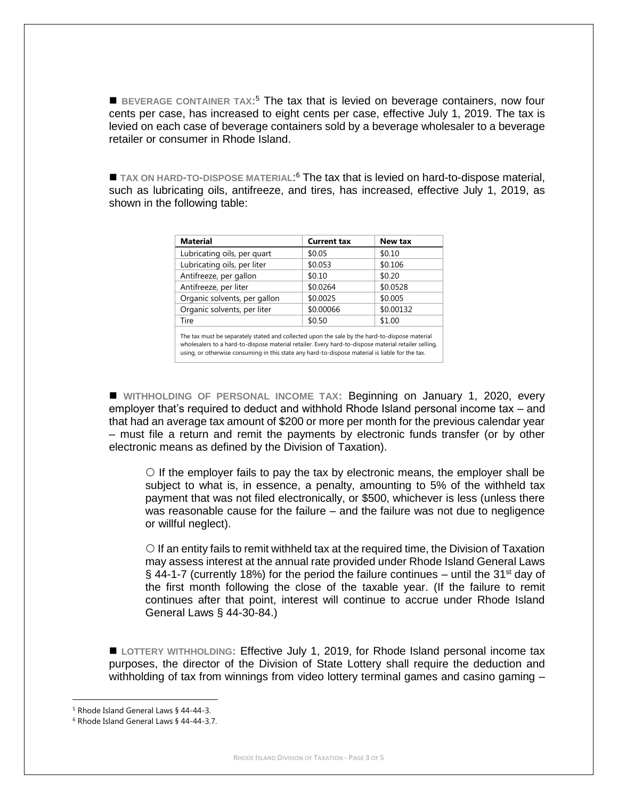■ BEVERAGE CONTAINER TAX<sup>15</sup> The tax that is levied on beverage containers, now four cents per case, has increased to eight cents per case, effective July 1, 2019. The tax is levied on each case of beverage containers sold by a beverage wholesaler to a beverage retailer or consumer in Rhode Island.

■ TAX ON HARD-TO-DISPOSE MATERIAL<sup>6</sup> The tax that is levied on hard-to-dispose material, such as lubricating oils, antifreeze, and tires, has increased, effective July 1, 2019, as shown in the following table:

| <b>Material</b>              | <b>Current tax</b> | New tax   |
|------------------------------|--------------------|-----------|
| Lubricating oils, per quart  | \$0.05             | \$0.10    |
| Lubricating oils, per liter  | \$0.053            | \$0.106   |
| Antifreeze, per gallon       | \$0.10             | \$0.20    |
| Antifreeze, per liter        | \$0.0264           | \$0.0528  |
| Organic solvents, per gallon | \$0.0025           | \$0.005   |
| Organic solvents, per liter  | \$0.00066          | \$0.00132 |
| Tire                         | \$0.50             | \$1.00    |

The tax must be separately stated and collected upon the sale by the hard-to-dispose material wholesalers to a hard-to-dispose material retailer. Every hard-to-dispose material retailer selling, using, or otherwise consuming in this state any hard-to-dispose material is liable for the tax.

■ WITHHOLDING OF PERSONAL INCOME TAX: Beginning on January 1, 2020, every employer that's required to deduct and withhold Rhode Island personal income tax – and that had an average tax amount of \$200 or more per month for the previous calendar year – must file a return and remit the payments by electronic funds transfer (or by other electronic means as defined by the Division of Taxation).

 $\circ$  If the employer fails to pay the tax by electronic means, the employer shall be subject to what is, in essence, a penalty, amounting to 5% of the withheld tax payment that was not filed electronically, or \$500, whichever is less (unless there was reasonable cause for the failure – and the failure was not due to negligence or willful neglect).

 $\circ$  If an entity fails to remit withheld tax at the required time, the Division of Taxation may assess interest at the annual rate provided under Rhode Island General Laws § 44-1-7 (currently 18%) for the period the failure continues – until the 31<sup>st</sup> day of the first month following the close of the taxable year. (If the failure to remit continues after that point, interest will continue to accrue under Rhode Island General Laws § 44-30-84.)

■ LOTTERY WITHHOLDING: Effective July 1, 2019, for Rhode Island personal income tax purposes, the director of the Division of State Lottery shall require the deduction and withholding of tax from winnings from video lottery terminal games and casino gaming -

 $\overline{\phantom{a}}$ 

<sup>5</sup> Rhode Island General Laws § 44-44-3.

<sup>6</sup> Rhode Island General Laws § 44-44-3.7.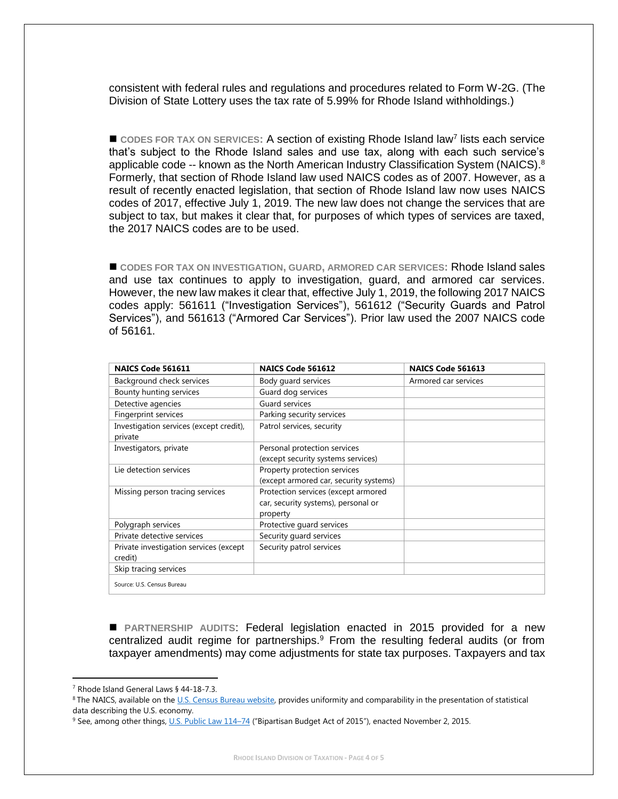consistent with federal rules and regulations and procedures related to Form W-2G. (The Division of State Lottery uses the tax rate of 5.99% for Rhode Island withholdings.)

■ CODES FOR TAX ON SERVICES: A section of existing Rhode Island law<sup>7</sup> lists each service that's subject to the Rhode Island sales and use tax, along with each such service's applicable code -- known as the North American Industry Classification System (NAICS).<sup>8</sup> Formerly, that section of Rhode Island law used NAICS codes as of 2007. However, as a result of recently enacted legislation, that section of Rhode Island law now uses NAICS codes of 2017, effective July 1, 2019. The new law does not change the services that are subject to tax, but makes it clear that, for purposes of which types of services are taxed, the 2017 NAICS codes are to be used.

◼ **CODES FOR TAX ON INVESTIGATION, GUARD, ARMORED CAR SERVICES:** Rhode Island sales and use tax continues to apply to investigation, guard, and armored car services. However, the new law makes it clear that, effective July 1, 2019, the following 2017 NAICS codes apply: 561611 ("Investigation Services"), 561612 ("Security Guards and Patrol Services"), and 561613 ("Armored Car Services"). Prior law used the 2007 NAICS code of 56161.

| NAICS Code 561611                                  | NAICS Code 561612                                                                      | NAICS Code 561613    |
|----------------------------------------------------|----------------------------------------------------------------------------------------|----------------------|
| Background check services                          | Body guard services                                                                    | Armored car services |
| Bounty hunting services                            | Guard dog services                                                                     |                      |
| Detective agencies                                 | Guard services                                                                         |                      |
| Fingerprint services                               | Parking security services                                                              |                      |
| Investigation services (except credit),<br>private | Patrol services, security                                                              |                      |
| Investigators, private                             | Personal protection services<br>(except security systems services)                     |                      |
| Lie detection services                             | Property protection services<br>(except armored car, security systems)                 |                      |
| Missing person tracing services                    | Protection services (except armored<br>car, security systems), personal or<br>property |                      |
| Polygraph services                                 | Protective quard services                                                              |                      |
| Private detective services                         | Security guard services                                                                |                      |
| Private investigation services (except<br>credit)  | Security patrol services                                                               |                      |
| Skip tracing services                              |                                                                                        |                      |
| Source: U.S. Census Bureau                         |                                                                                        |                      |

■ PARTNERSHIP AUDITS: Federal legislation enacted in 2015 provided for a new centralized audit regime for partnerships. $9$  From the resulting federal audits (or from taxpayer amendments) may come adjustments for state tax purposes. Taxpayers and tax

 $\overline{a}$ 

<sup>7</sup> Rhode Island General Laws § 44-18-7.3.

<sup>&</sup>lt;sup>8</sup> The NAICS, available on th[e U.S. Census Bureau website,](https://www.census.gov/eos/www/naics/index.html) provides uniformity and comparability in the presentation of statistical data describing the U.S. economy.

<sup>9</sup> See, among other things[, U.S. Public Law 114](https://www.congress.gov/114/plaws/publ74/PLAW-114publ74.pdf)–74 ("Bipartisan Budget Act of 2015"), enacted November 2, 2015.